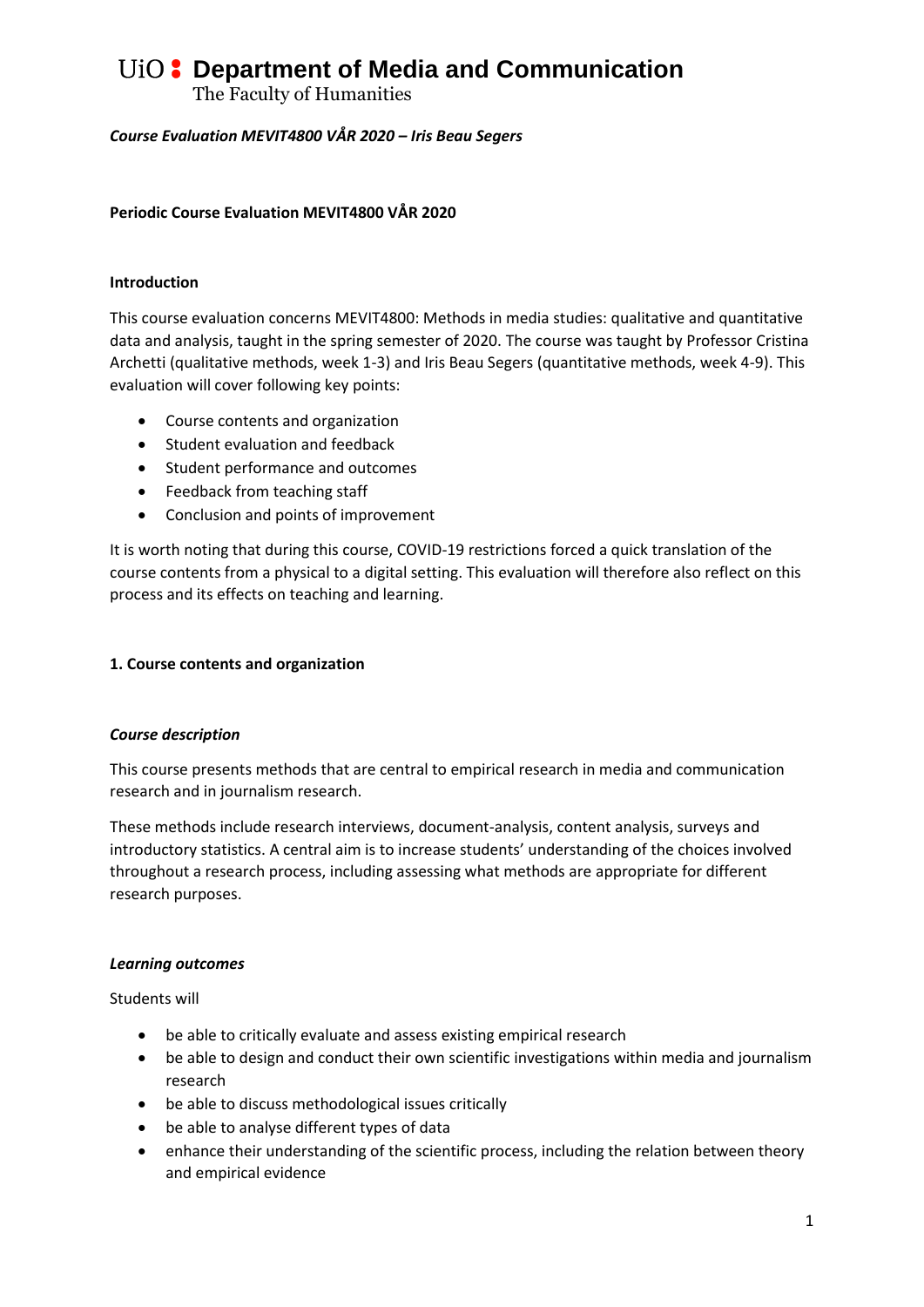The Faculty of Humanities

### *Course Evaluation MEVIT4800 VÅR 2020 – Iris Beau Segers*

### **Periodic Course Evaluation MEVIT4800 VÅR 2020**

### **Introduction**

This course evaluation concerns MEVIT4800: Methods in media studies: qualitative and quantitative data and analysis, taught in the spring semester of 2020. The course was taught by Professor Cristina Archetti (qualitative methods, week 1-3) and Iris Beau Segers (quantitative methods, week 4-9). This evaluation will cover following key points:

- Course contents and organization
- Student evaluation and feedback
- Student performance and outcomes
- Feedback from teaching staff
- Conclusion and points of improvement

It is worth noting that during this course, COVID-19 restrictions forced a quick translation of the course contents from a physical to a digital setting. This evaluation will therefore also reflect on this process and its effects on teaching and learning.

#### **1. Course contents and organization**

#### *Course description*

This course presents methods that are central to empirical research in media and communication research and in journalism research.

These methods include research interviews, document-analysis, content analysis, surveys and introductory statistics. A central aim is to increase students' understanding of the choices involved throughout a research process, including assessing what methods are appropriate for different research purposes.

#### *Learning outcomes*

Students will

- be able to critically evaluate and assess existing empirical research
- be able to design and conduct their own scientific investigations within media and journalism research
- be able to discuss methodological issues critically
- be able to analyse different types of data
- enhance their understanding of the scientific process, including the relation between theory and empirical evidence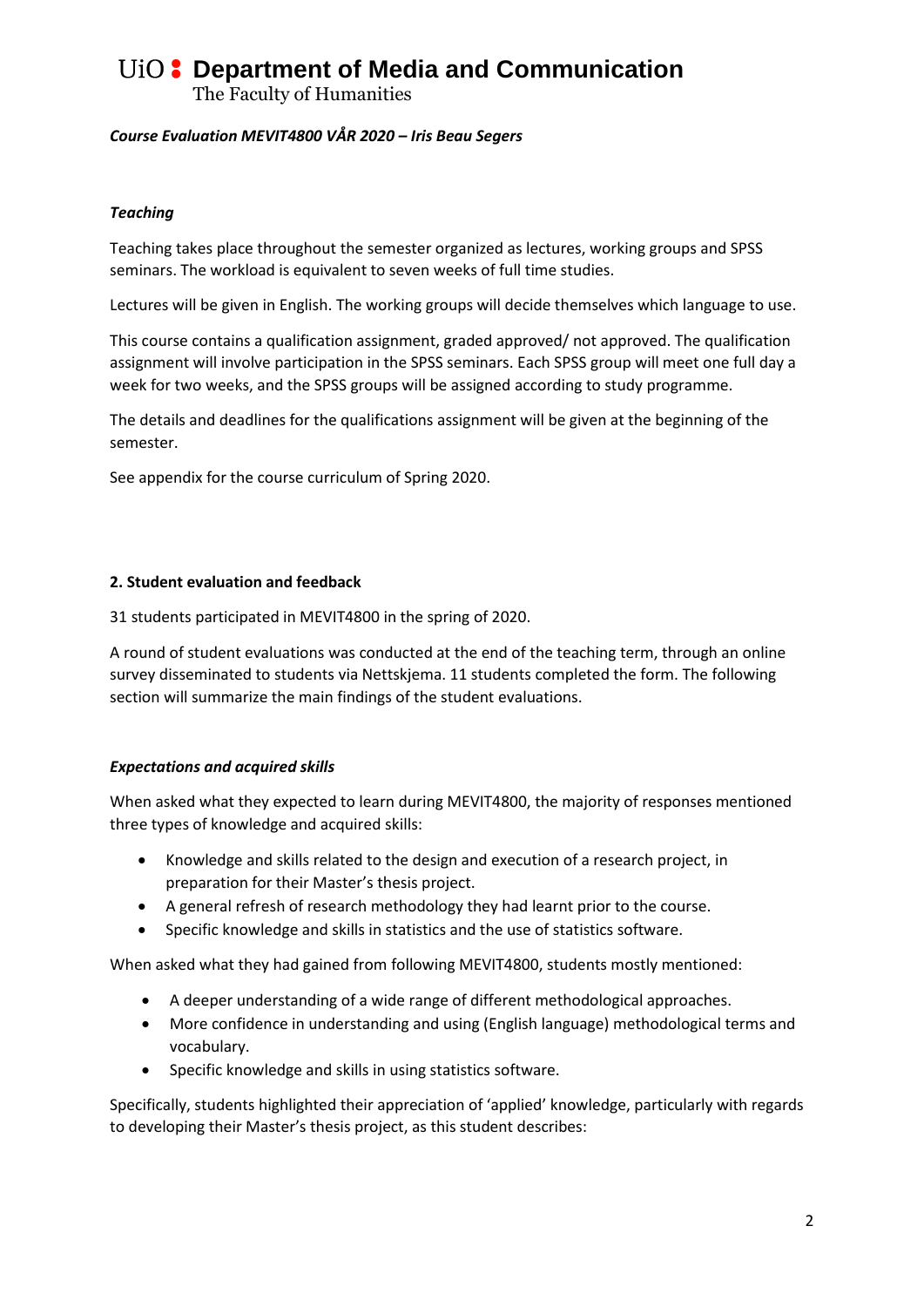The Faculty of Humanities

### *Course Evaluation MEVIT4800 VÅR 2020 – Iris Beau Segers*

### *Teaching*

Teaching takes place throughout the semester organized as lectures, working groups and SPSS seminars. The workload is equivalent to seven weeks of full time studies.

Lectures will be given in English. The working groups will decide themselves which language to use.

This course contains a qualification assignment, graded approved/ not approved. The qualification assignment will involve participation in the SPSS seminars. Each SPSS group will meet one full day a week for two weeks, and the SPSS groups will be assigned according to study programme.

The details and deadlines for the qualifications assignment will be given at the beginning of the semester.

See appendix for the course curriculum of Spring 2020.

#### **2. Student evaluation and feedback**

31 students participated in MEVIT4800 in the spring of 2020.

A round of student evaluations was conducted at the end of the teaching term, through an online survey disseminated to students via Nettskjema. 11 students completed the form. The following section will summarize the main findings of the student evaluations.

# *Expectations and acquired skills*

When asked what they expected to learn during MEVIT4800, the majority of responses mentioned three types of knowledge and acquired skills:

- Knowledge and skills related to the design and execution of a research project, in preparation for their Master's thesis project.
- A general refresh of research methodology they had learnt prior to the course.
- Specific knowledge and skills in statistics and the use of statistics software.

When asked what they had gained from following MEVIT4800, students mostly mentioned:

- A deeper understanding of a wide range of different methodological approaches.
- More confidence in understanding and using (English language) methodological terms and vocabulary.
- Specific knowledge and skills in using statistics software.

Specifically, students highlighted their appreciation of 'applied' knowledge, particularly with regards to developing their Master's thesis project, as this student describes: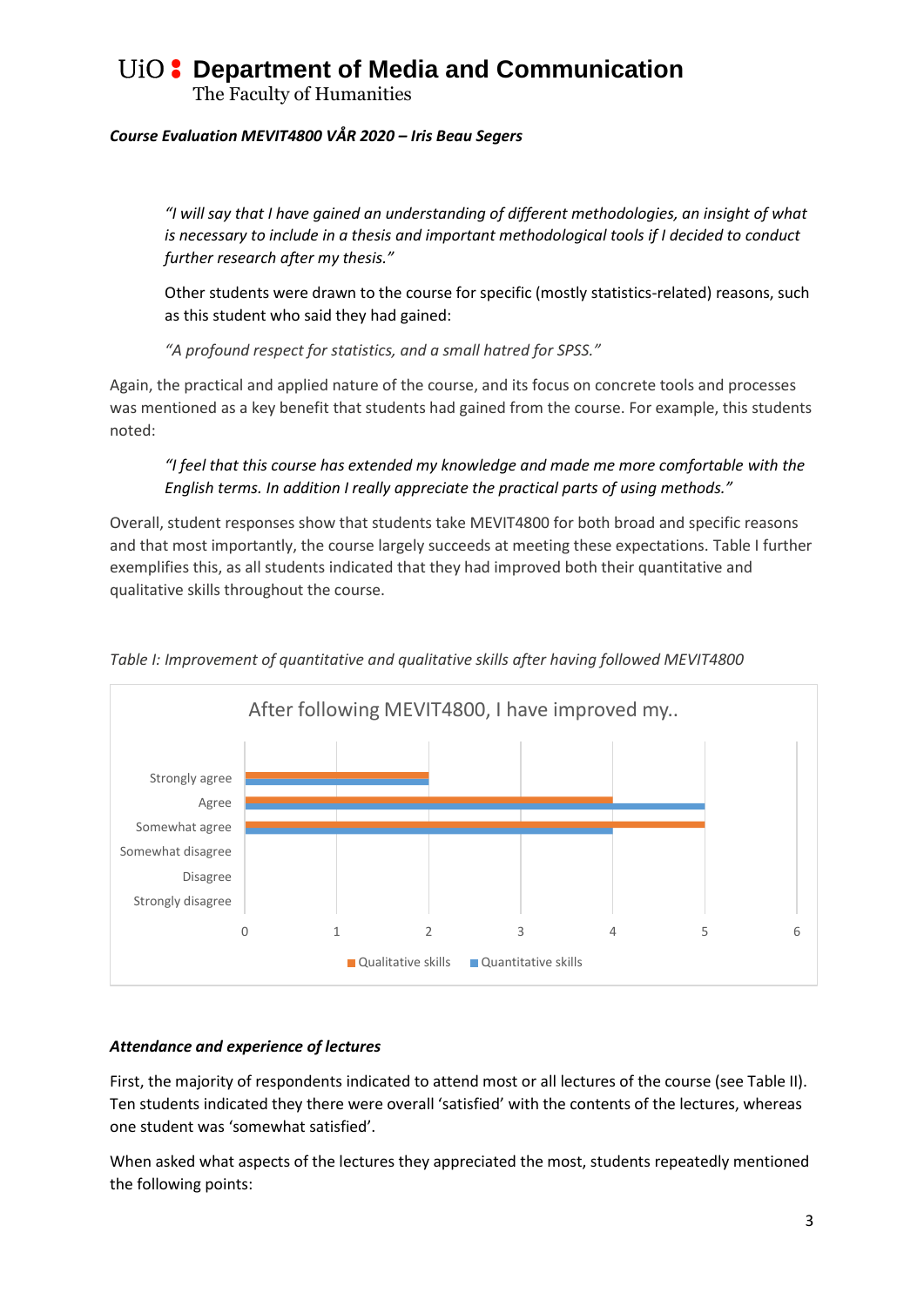The Faculty of Humanities

### *Course Evaluation MEVIT4800 VÅR 2020 – Iris Beau Segers*

*"I will say that I have gained an understanding of different methodologies, an insight of what is necessary to include in a thesis and important methodological tools if I decided to conduct further research after my thesis."*

Other students were drawn to the course for specific (mostly statistics-related) reasons, such as this student who said they had gained:

*"A profound respect for statistics, and a small hatred for SPSS."*

Again, the practical and applied nature of the course, and its focus on concrete tools and processes was mentioned as a key benefit that students had gained from the course. For example, this students noted:

# *"I feel that this course has extended my knowledge and made me more comfortable with the English terms. In addition I really appreciate the practical parts of using methods."*

Overall, student responses show that students take MEVIT4800 for both broad and specific reasons and that most importantly, the course largely succeeds at meeting these expectations. Table I further exemplifies this, as all students indicated that they had improved both their quantitative and qualitative skills throughout the course.



*Table I: Improvement of quantitative and qualitative skills after having followed MEVIT4800*

#### *Attendance and experience of lectures*

First, the majority of respondents indicated to attend most or all lectures of the course (see Table II). Ten students indicated they there were overall 'satisfied' with the contents of the lectures, whereas one student was 'somewhat satisfied'.

When asked what aspects of the lectures they appreciated the most, students repeatedly mentioned the following points: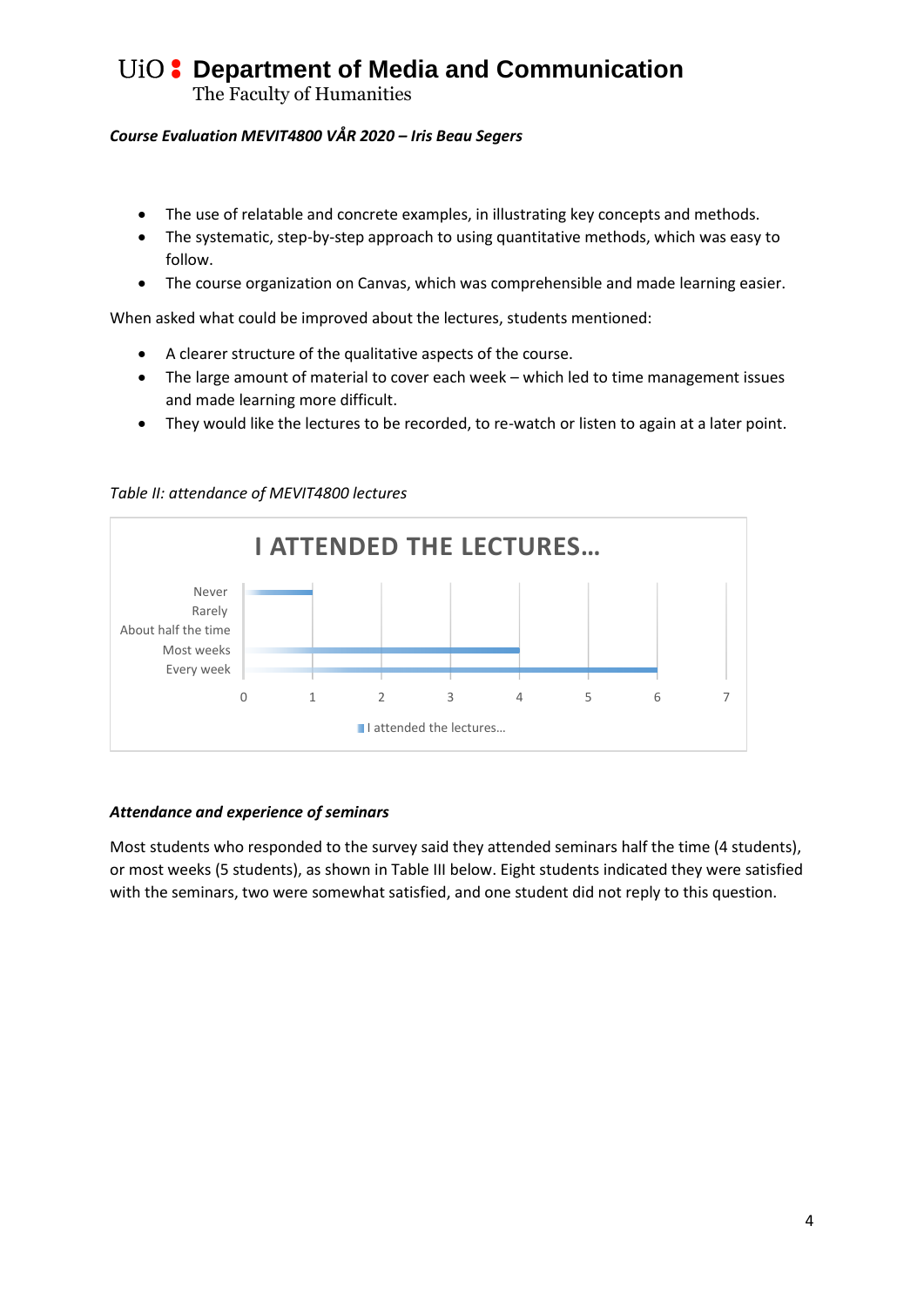The Faculty of Humanities

### *Course Evaluation MEVIT4800 VÅR 2020 – Iris Beau Segers*

- The use of relatable and concrete examples, in illustrating key concepts and methods.
- The systematic, step-by-step approach to using quantitative methods, which was easy to follow.
- The course organization on Canvas, which was comprehensible and made learning easier.

When asked what could be improved about the lectures, students mentioned:

- A clearer structure of the qualitative aspects of the course.
- The large amount of material to cover each week which led to time management issues and made learning more difficult.
- They would like the lectures to be recorded, to re-watch or listen to again at a later point.

0 1 2 3 4 5 6 7 Every week Most weeks About half the time Rarely Never **I ATTENDED THE LECTURES…**

#### *Table II: attendance of MEVIT4800 lectures*

#### *Attendance and experience of seminars*

Most students who responded to the survey said they attended seminars half the time (4 students), or most weeks (5 students), as shown in Table III below. Eight students indicated they were satisfied with the seminars, two were somewhat satisfied, and one student did not reply to this question.

I attended the lectures...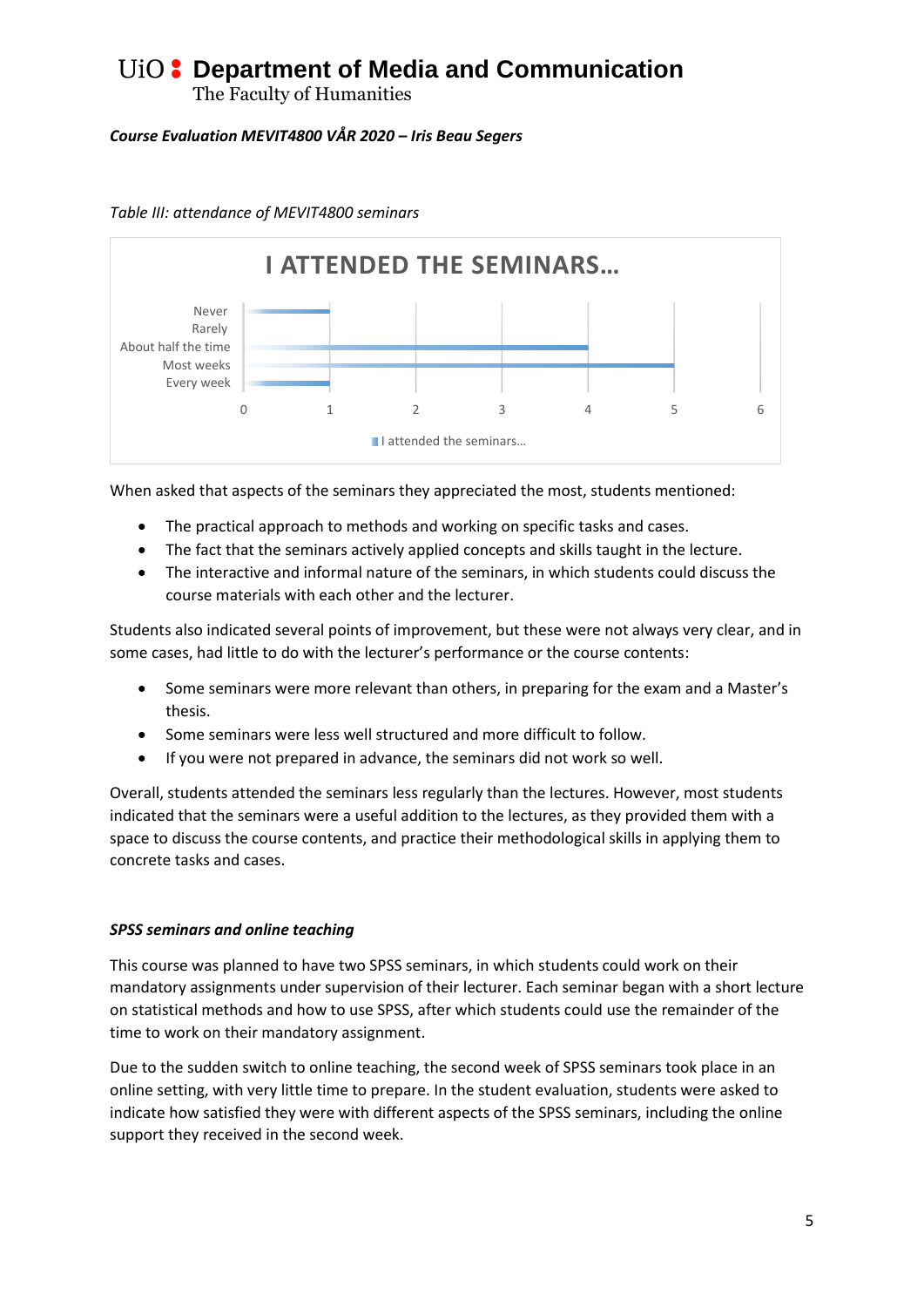The Faculty of Humanities

# *Course Evaluation MEVIT4800 VÅR 2020 – Iris Beau Segers*



*Table III: attendance of MEVIT4800 seminars*

When asked that aspects of the seminars they appreciated the most, students mentioned:

- The practical approach to methods and working on specific tasks and cases.
- The fact that the seminars actively applied concepts and skills taught in the lecture.
- The interactive and informal nature of the seminars, in which students could discuss the course materials with each other and the lecturer.

Students also indicated several points of improvement, but these were not always very clear, and in some cases, had little to do with the lecturer's performance or the course contents:

- Some seminars were more relevant than others, in preparing for the exam and a Master's thesis.
- Some seminars were less well structured and more difficult to follow.
- If you were not prepared in advance, the seminars did not work so well.

Overall, students attended the seminars less regularly than the lectures. However, most students indicated that the seminars were a useful addition to the lectures, as they provided them with a space to discuss the course contents, and practice their methodological skills in applying them to concrete tasks and cases.

# *SPSS seminars and online teaching*

This course was planned to have two SPSS seminars, in which students could work on their mandatory assignments under supervision of their lecturer. Each seminar began with a short lecture on statistical methods and how to use SPSS, after which students could use the remainder of the time to work on their mandatory assignment.

Due to the sudden switch to online teaching, the second week of SPSS seminars took place in an online setting, with very little time to prepare. In the student evaluation, students were asked to indicate how satisfied they were with different aspects of the SPSS seminars, including the online support they received in the second week.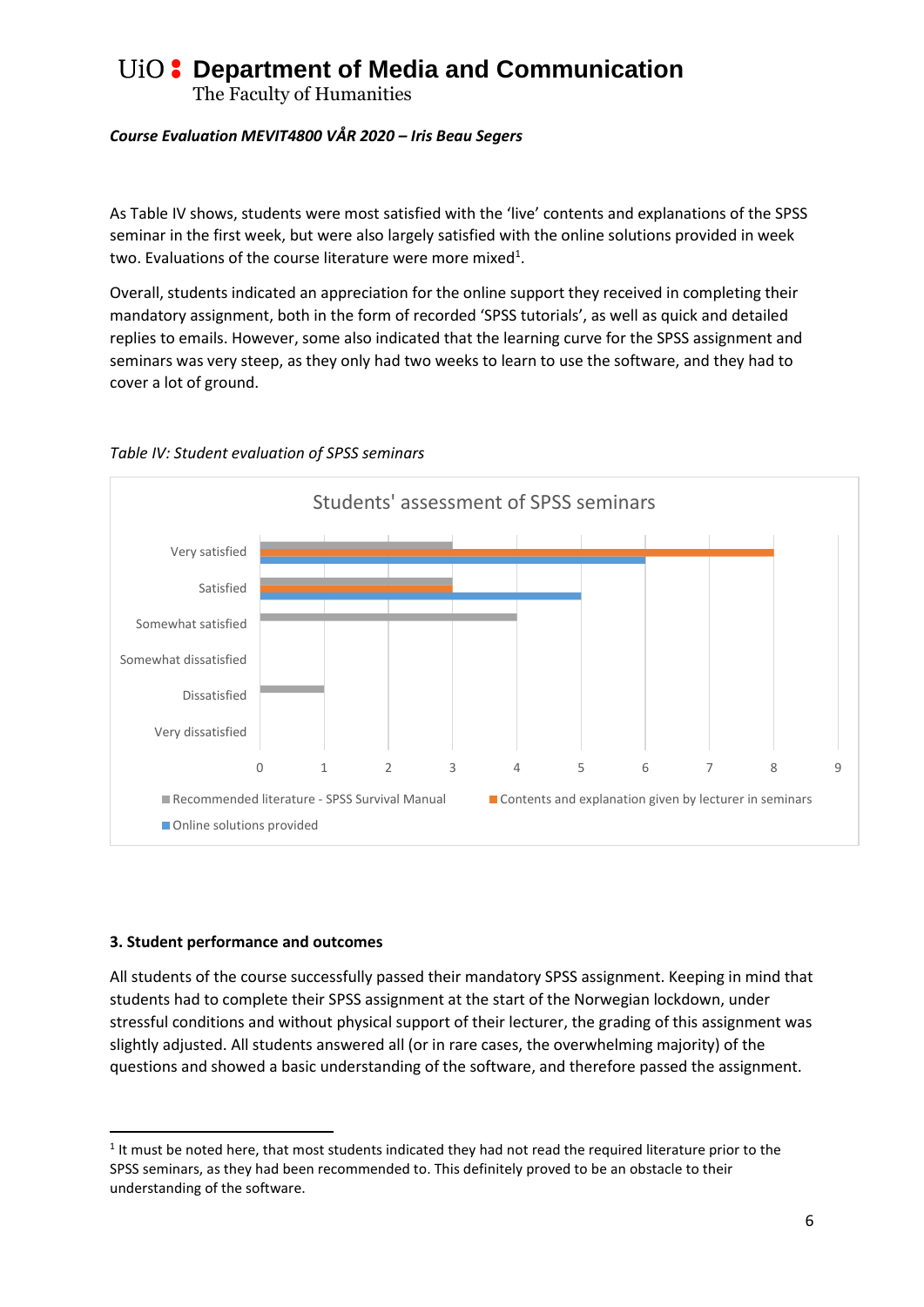The Faculty of Humanities

### *Course Evaluation MEVIT4800 VÅR 2020 – Iris Beau Segers*

As Table IV shows, students were most satisfied with the 'live' contents and explanations of the SPSS seminar in the first week, but were also largely satisfied with the online solutions provided in week two. Evaluations of the course literature were more mixed<sup>1</sup>.

Overall, students indicated an appreciation for the online support they received in completing their mandatory assignment, both in the form of recorded 'SPSS tutorials', as well as quick and detailed replies to emails. However, some also indicated that the learning curve for the SPSS assignment and seminars was very steep, as they only had two weeks to learn to use the software, and they had to cover a lot of ground.



### *Table IV: Student evaluation of SPSS seminars*

#### **3. Student performance and outcomes**

**.** 

All students of the course successfully passed their mandatory SPSS assignment. Keeping in mind that students had to complete their SPSS assignment at the start of the Norwegian lockdown, under stressful conditions and without physical support of their lecturer, the grading of this assignment was slightly adjusted. All students answered all (or in rare cases, the overwhelming majority) of the questions and showed a basic understanding of the software, and therefore passed the assignment.

 $<sup>1</sup>$  It must be noted here, that most students indicated they had not read the required literature prior to the</sup> SPSS seminars, as they had been recommended to. This definitely proved to be an obstacle to their understanding of the software.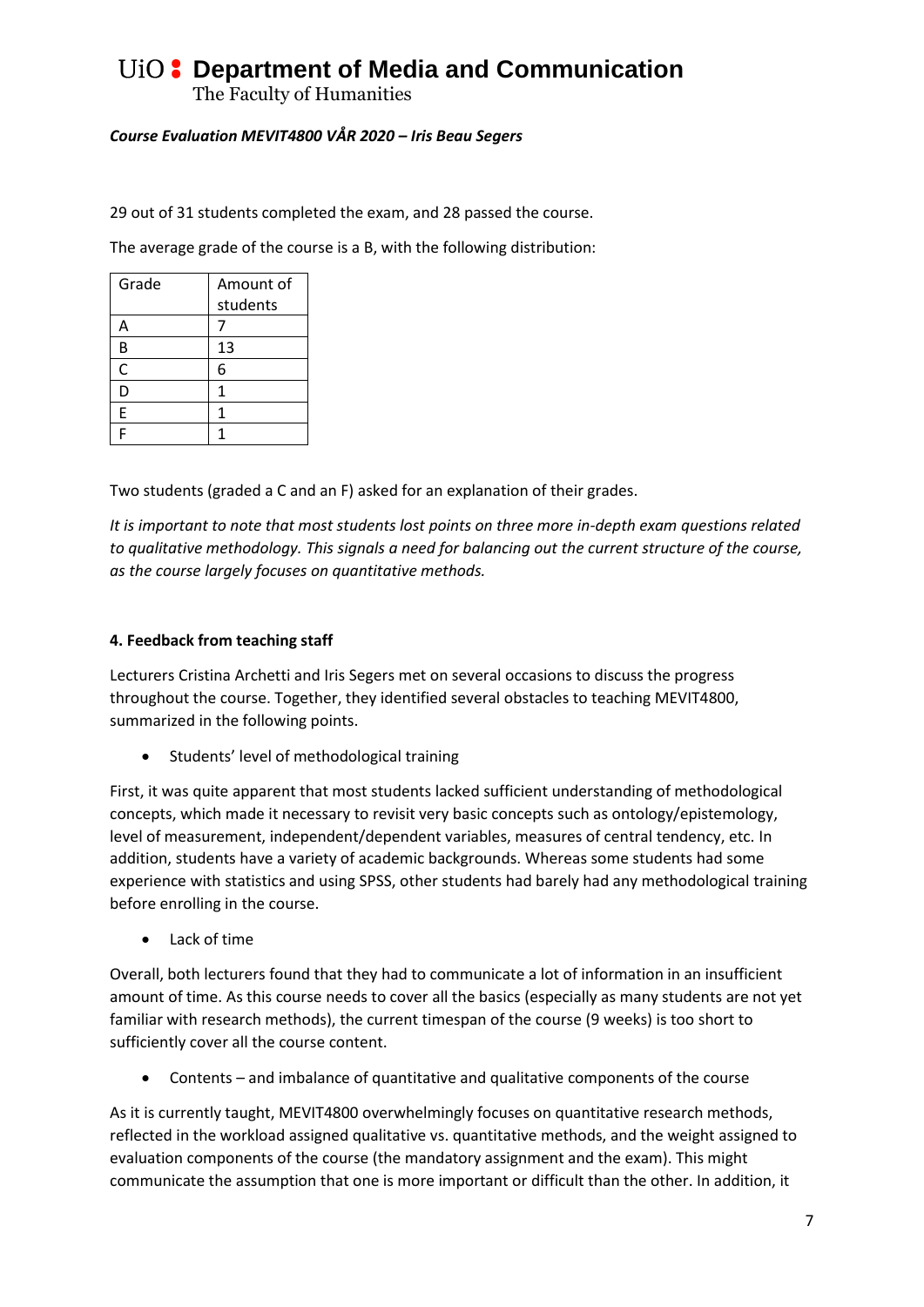The Faculty of Humanities

# *Course Evaluation MEVIT4800 VÅR 2020 – Iris Beau Segers*

29 out of 31 students completed the exam, and 28 passed the course.

The average grade of the course is a B, with the following distribution:

| Grade | Amount of |
|-------|-----------|
|       | students  |
| Α     |           |
| В     | 13        |
| C     | 6         |
| D     | 1         |
| Ė     | 1         |
| Ë     |           |

Two students (graded a C and an F) asked for an explanation of their grades.

*It is important to note that most students lost points on three more in-depth exam questions related to qualitative methodology. This signals a need for balancing out the current structure of the course, as the course largely focuses on quantitative methods.* 

### **4. Feedback from teaching staff**

Lecturers Cristina Archetti and Iris Segers met on several occasions to discuss the progress throughout the course. Together, they identified several obstacles to teaching MEVIT4800, summarized in the following points.

• Students' level of methodological training

First, it was quite apparent that most students lacked sufficient understanding of methodological concepts, which made it necessary to revisit very basic concepts such as ontology/epistemology, level of measurement, independent/dependent variables, measures of central tendency, etc. In addition, students have a variety of academic backgrounds. Whereas some students had some experience with statistics and using SPSS, other students had barely had any methodological training before enrolling in the course.

Lack of time

Overall, both lecturers found that they had to communicate a lot of information in an insufficient amount of time. As this course needs to cover all the basics (especially as many students are not yet familiar with research methods), the current timespan of the course (9 weeks) is too short to sufficiently cover all the course content.

Contents – and imbalance of quantitative and qualitative components of the course

As it is currently taught, MEVIT4800 overwhelmingly focuses on quantitative research methods, reflected in the workload assigned qualitative vs. quantitative methods, and the weight assigned to evaluation components of the course (the mandatory assignment and the exam). This might communicate the assumption that one is more important or difficult than the other. In addition, it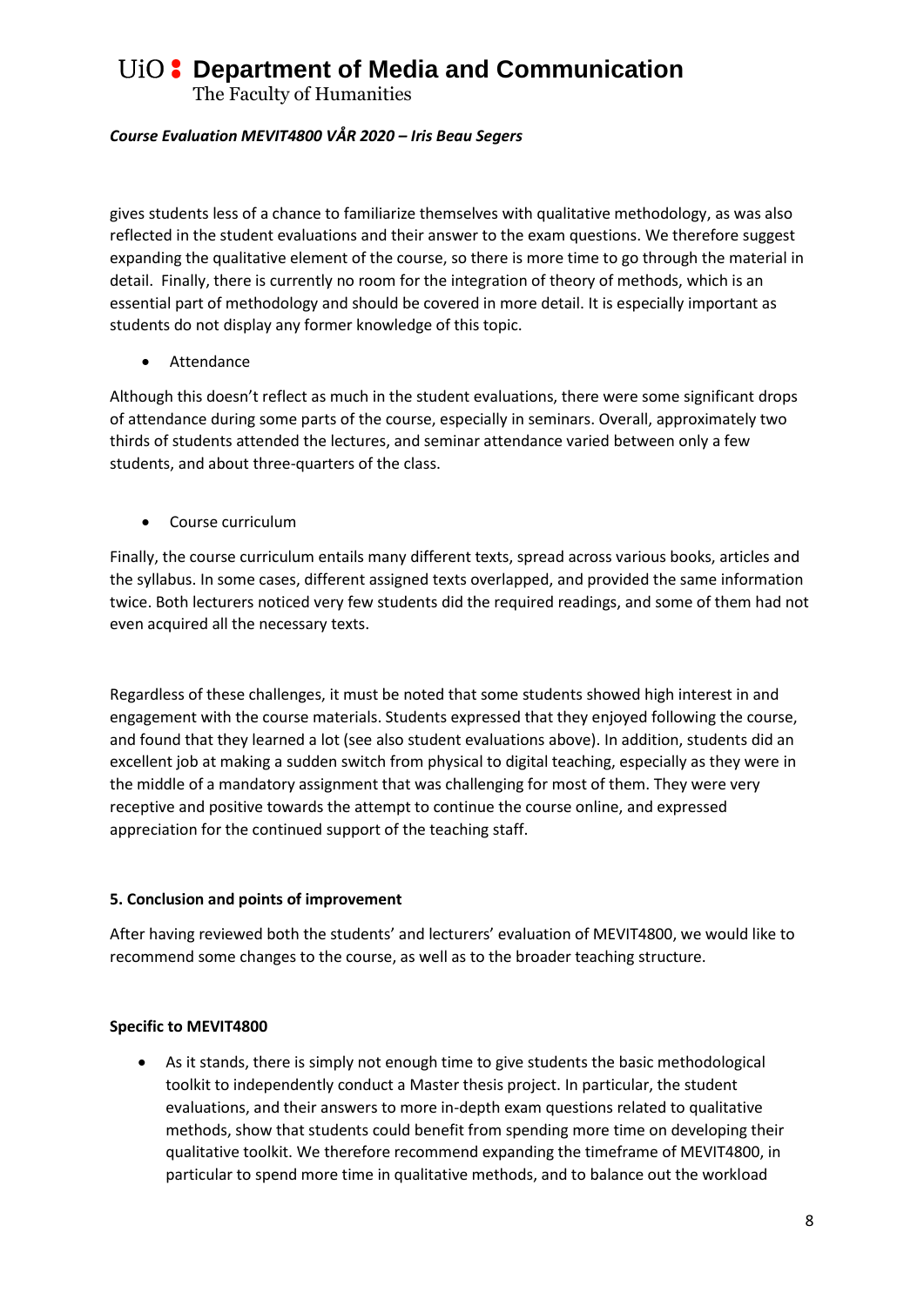The Faculty of Humanities

### *Course Evaluation MEVIT4800 VÅR 2020 – Iris Beau Segers*

gives students less of a chance to familiarize themselves with qualitative methodology, as was also reflected in the student evaluations and their answer to the exam questions. We therefore suggest expanding the qualitative element of the course, so there is more time to go through the material in detail. Finally, there is currently no room for the integration of theory of methods, which is an essential part of methodology and should be covered in more detail. It is especially important as students do not display any former knowledge of this topic.

Attendance

Although this doesn't reflect as much in the student evaluations, there were some significant drops of attendance during some parts of the course, especially in seminars. Overall, approximately two thirds of students attended the lectures, and seminar attendance varied between only a few students, and about three-quarters of the class.

• Course curriculum

Finally, the course curriculum entails many different texts, spread across various books, articles and the syllabus. In some cases, different assigned texts overlapped, and provided the same information twice. Both lecturers noticed very few students did the required readings, and some of them had not even acquired all the necessary texts.

Regardless of these challenges, it must be noted that some students showed high interest in and engagement with the course materials. Students expressed that they enjoyed following the course, and found that they learned a lot (see also student evaluations above). In addition, students did an excellent job at making a sudden switch from physical to digital teaching, especially as they were in the middle of a mandatory assignment that was challenging for most of them. They were very receptive and positive towards the attempt to continue the course online, and expressed appreciation for the continued support of the teaching staff.

#### **5. Conclusion and points of improvement**

After having reviewed both the students' and lecturers' evaluation of MEVIT4800, we would like to recommend some changes to the course, as well as to the broader teaching structure.

#### **Specific to MEVIT4800**

 As it stands, there is simply not enough time to give students the basic methodological toolkit to independently conduct a Master thesis project. In particular, the student evaluations, and their answers to more in-depth exam questions related to qualitative methods, show that students could benefit from spending more time on developing their qualitative toolkit. We therefore recommend expanding the timeframe of MEVIT4800, in particular to spend more time in qualitative methods, and to balance out the workload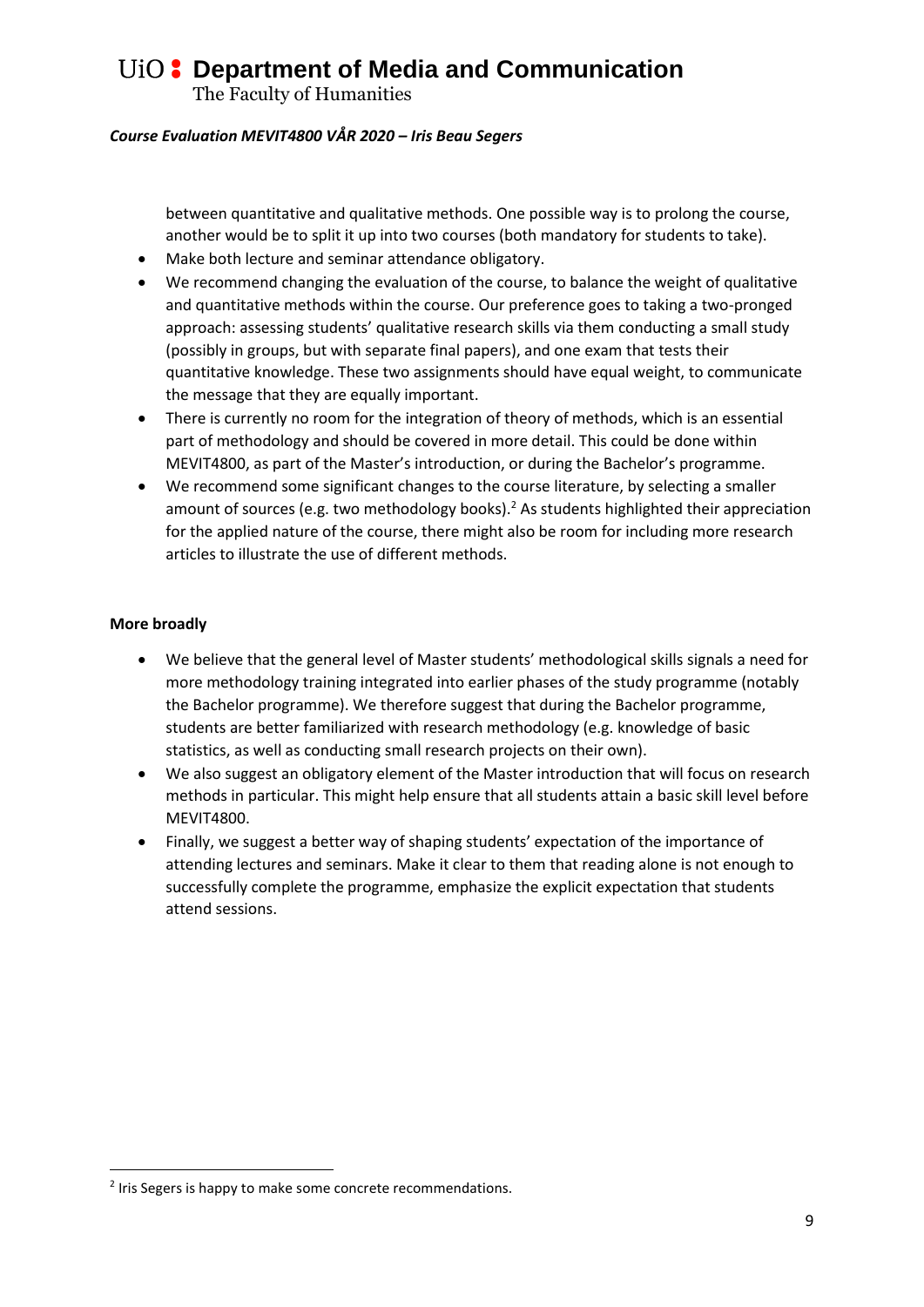The Faculty of Humanities

### *Course Evaluation MEVIT4800 VÅR 2020 – Iris Beau Segers*

between quantitative and qualitative methods. One possible way is to prolong the course, another would be to split it up into two courses (both mandatory for students to take).

- Make both lecture and seminar attendance obligatory.
- We recommend changing the evaluation of the course, to balance the weight of qualitative and quantitative methods within the course. Our preference goes to taking a two-pronged approach: assessing students' qualitative research skills via them conducting a small study (possibly in groups, but with separate final papers), and one exam that tests their quantitative knowledge. These two assignments should have equal weight, to communicate the message that they are equally important.
- There is currently no room for the integration of theory of methods, which is an essential part of methodology and should be covered in more detail. This could be done within MEVIT4800, as part of the Master's introduction, or during the Bachelor's programme.
- We recommend some significant changes to the course literature, by selecting a smaller amount of sources (e.g. two methodology books).<sup>2</sup> As students highlighted their appreciation for the applied nature of the course, there might also be room for including more research articles to illustrate the use of different methods.

### **More broadly**

1

- We believe that the general level of Master students' methodological skills signals a need for more methodology training integrated into earlier phases of the study programme (notably the Bachelor programme). We therefore suggest that during the Bachelor programme, students are better familiarized with research methodology (e.g. knowledge of basic statistics, as well as conducting small research projects on their own).
- We also suggest an obligatory element of the Master introduction that will focus on research methods in particular. This might help ensure that all students attain a basic skill level before MEVIT4800.
- Finally, we suggest a better way of shaping students' expectation of the importance of attending lectures and seminars. Make it clear to them that reading alone is not enough to successfully complete the programme, emphasize the explicit expectation that students attend sessions.

<sup>&</sup>lt;sup>2</sup> Iris Segers is happy to make some concrete recommendations.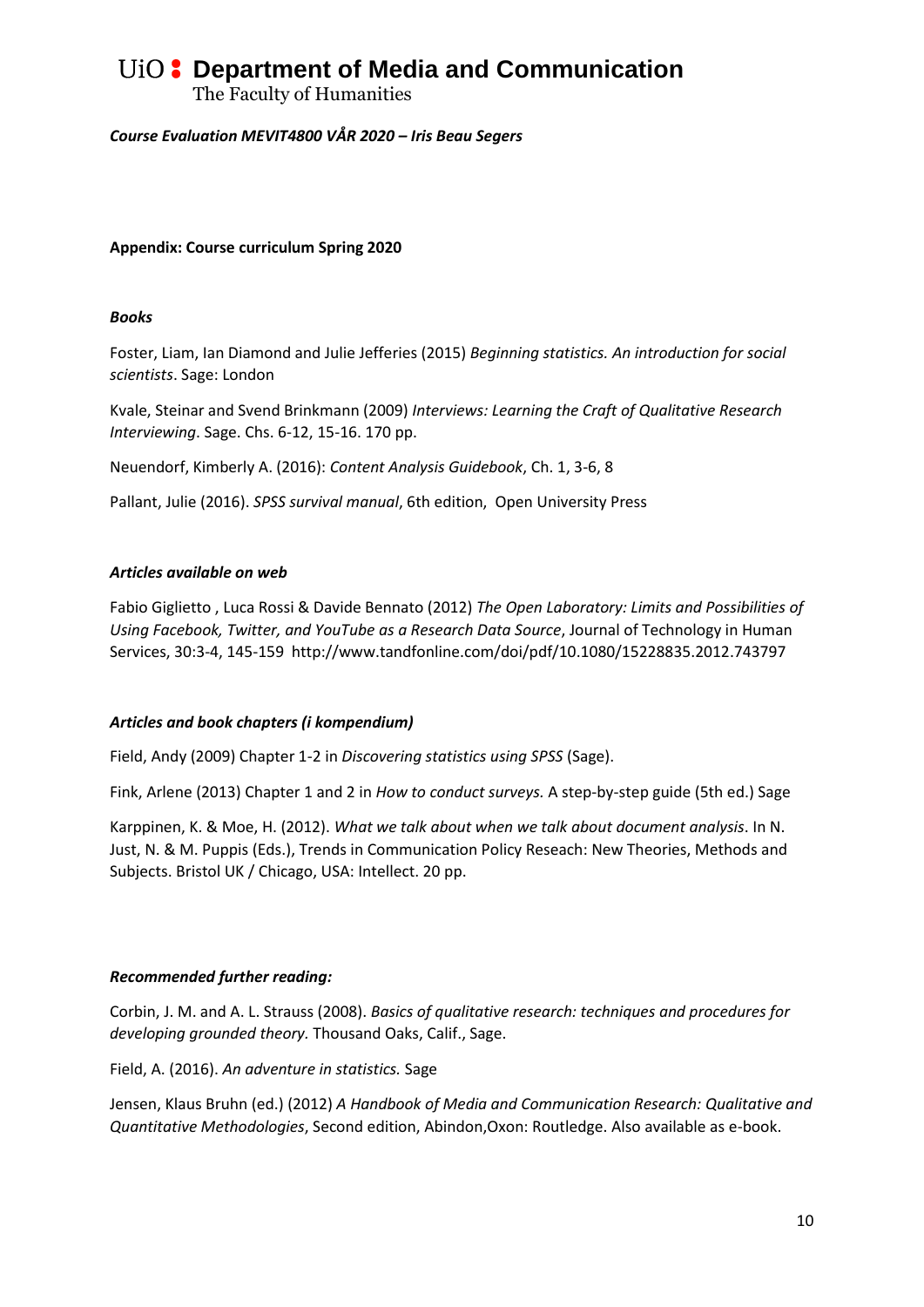The Faculty of Humanities

#### *Course Evaluation MEVIT4800 VÅR 2020 – Iris Beau Segers*

### **Appendix: Course curriculum Spring 2020**

#### *Books*

Foster, Liam, Ian Diamond and Julie Jefferies (2015) *Beginning statistics. An introduction for social scientists*. Sage: London

Kvale, Steinar and Svend Brinkmann (2009) *Interviews: Learning the Craft of Qualitative Research Interviewing*. Sage. Chs. 6-12, 15-16. 170 pp.

Neuendorf, Kimberly A. (2016): *Content Analysis Guidebook*, Ch. 1, 3-6, 8

Pallant, Julie (2016). *SPSS survival manual*, 6th edition, Open University Press

#### *Articles available on web*

Fabio Giglietto , Luca Rossi & Davide Bennato (2012) *The Open Laboratory: Limits and Possibilities of Using Facebook, Twitter, and YouTube as a Research Data Source*, Journal of Technology in Human Services, 30:3-4, 145-159 http://www.tandfonline.com/doi/pdf/10.1080/15228835.2012.743797

#### *Articles and book chapters (i kompendium)*

Field, Andy (2009) Chapter 1-2 in *Discovering statistics using SPSS* (Sage).

Fink, Arlene (2013) Chapter 1 and 2 in *How to conduct surveys.* A step-by-step guide (5th ed.) Sage

Karppinen, K. & Moe, H. (2012). *What we talk about when we talk about document analysis*. In N. Just, N. & M. Puppis (Eds.), Trends in Communication Policy Reseach: New Theories, Methods and Subjects. Bristol UK / Chicago, USA: Intellect. 20 pp.

#### *Recommended further reading:*

Corbin, J. M. and A. L. Strauss (2008). *Basics of qualitative research: techniques and procedures for developing grounded theory.* Thousand Oaks, Calif., Sage.

Field, A. (2016). *An adventure in statistics.* Sage

Jensen, Klaus Bruhn (ed.) (2012) *A Handbook of Media and Communication Research: Qualitative and Quantitative Methodologies*, Second edition, Abindon,Oxon: Routledge. Also available as e-book.